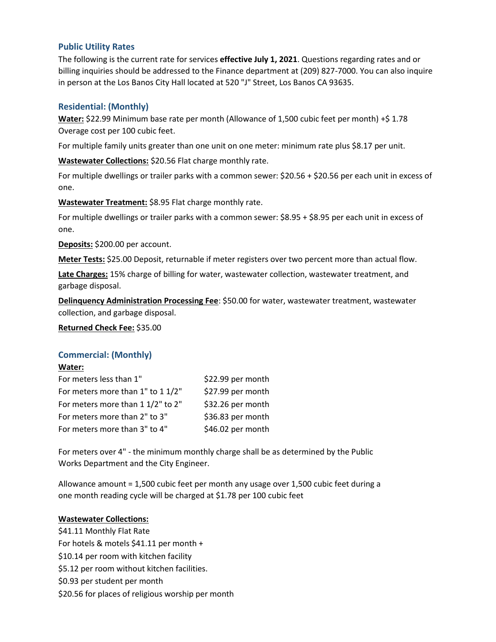# **Public Utility Rates**

The following is the current rate for services **effective July 1, 2021**. Questions regarding rates and or billing inquiries should be addressed to the Finance department at (209) 827-7000. You can also inquire in person at the Los Banos City Hall located at 520 "J" Street, Los Banos CA 93635.

# **Residential: (Monthly)**

**Water:** \$22.99 Minimum base rate per month (Allowance of 1,500 cubic feet per month) +\$ 1.78 Overage cost per 100 cubic feet.

For multiple family units greater than one unit on one meter: minimum rate plus \$8.17 per unit.

**Wastewater Collections:** \$20.56 Flat charge monthly rate.

For multiple dwellings or trailer parks with a common sewer: \$20.56 + \$20.56 per each unit in excess of one.

**Wastewater Treatment:** \$8.95 Flat charge monthly rate.

For multiple dwellings or trailer parks with a common sewer: \$8.95 + \$8.95 per each unit in excess of one.

**Deposits:** \$200.00 per account.

**Meter Tests:** \$25.00 Deposit, returnable if meter registers over two percent more than actual flow.

**Late Charges:** 15% charge of billing for water, wastewater collection, wastewater treatment, and garbage disposal.

**Delinquency Administration Processing Fee**: \$50.00 for water, wastewater treatment, wastewater collection, and garbage disposal.

**Returned Check Fee:** \$35.00

# **Commercial: (Monthly)**

### **Water:**

| For meters less than 1"           | \$22.99 per month |
|-----------------------------------|-------------------|
| For meters more than 1" to 1 1/2" | \$27.99 per month |
| For meters more than 1 1/2" to 2" | \$32.26 per month |
| For meters more than 2" to 3"     | \$36.83 per month |
| For meters more than 3" to 4"     | \$46.02 per month |

For meters over 4" - the minimum monthly charge shall be as determined by the Public Works Department and the City Engineer.

Allowance amount = 1,500 cubic feet per month any usage over 1,500 cubic feet during a one month reading cycle will be charged at \$1.78 per 100 cubic feet

## **Wastewater Collections:**

\$41.11 Monthly Flat Rate For hotels & motels \$41.11 per month + \$10.14 per room with kitchen facility \$5.12 per room without kitchen facilities. \$0.93 per student per month \$20.56 for places of religious worship per month